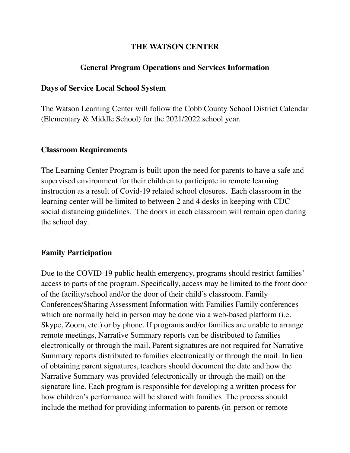# **THE WATSON CENTER**

# **General Program Operations and Services Information**

### **Days of Service Local School System**

The Watson Learning Center will follow the Cobb County School District Calendar (Elementary & Middle School) for the 2021/2022 school year.

### **Classroom Requirements**

The Learning Center Program is built upon the need for parents to have a safe and supervised environment for their children to participate in remote learning instruction as a result of Covid-19 related school closures. Each classroom in the learning center will be limited to between 2 and 4 desks in keeping with CDC social distancing guidelines. The doors in each classroom will remain open during the school day.

## **Family Participation**

Due to the COVID-19 public health emergency, programs should restrict families' access to parts of the program. Specifically, access may be limited to the front door of the facility/school and/or the door of their child's classroom. Family Conferences/Sharing Assessment Information with Families Family conferences which are normally held in person may be done via a web-based platform (i.e. Skype, Zoom, etc.) or by phone. If programs and/or families are unable to arrange remote meetings, Narrative Summary reports can be distributed to families electronically or through the mail. Parent signatures are not required for Narrative Summary reports distributed to families electronically or through the mail. In lieu of obtaining parent signatures, teachers should document the date and how the Narrative Summary was provided (electronically or through the mail) on the signature line. Each program is responsible for developing a written process for how children's performance will be shared with families. The process should include the method for providing information to parents (in-person or remote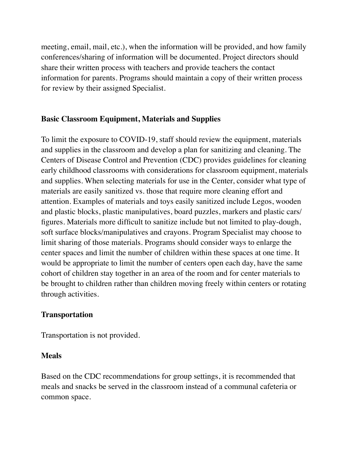meeting, email, mail, etc.), when the information will be provided, and how family conferences/sharing of information will be documented. Project directors should share their written process with teachers and provide teachers the contact information for parents. Programs should maintain a copy of their written process for review by their assigned Specialist.

# **Basic Classroom Equipment, Materials and Supplies**

To limit the exposure to COVID-19, staff should review the equipment, materials and supplies in the classroom and develop a plan for sanitizing and cleaning. The Centers of Disease Control and Prevention (CDC) provides guidelines for cleaning early childhood classrooms with considerations for classroom equipment, materials and supplies. When selecting materials for use in the Center, consider what type of materials are easily sanitized vs. those that require more cleaning effort and attention. Examples of materials and toys easily sanitized include Legos, wooden and plastic blocks, plastic manipulatives, board puzzles, markers and plastic cars/ figures. Materials more difficult to sanitize include but not limited to play-dough, soft surface blocks/manipulatives and crayons. Program Specialist may choose to limit sharing of those materials. Programs should consider ways to enlarge the center spaces and limit the number of children within these spaces at one time. It would be appropriate to limit the number of centers open each day, have the same cohort of children stay together in an area of the room and for center materials to be brought to children rather than children moving freely within centers or rotating through activities.

## **Transportation**

Transportation is not provided.

### **Meals**

Based on the CDC recommendations for group settings, it is recommended that meals and snacks be served in the classroom instead of a communal cafeteria or common space.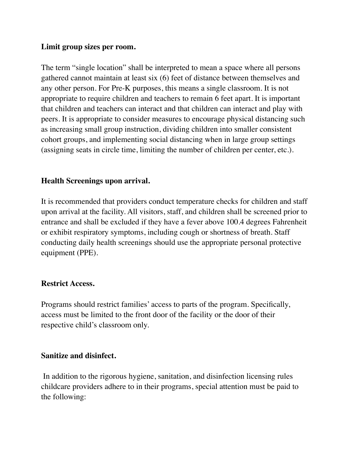# **Limit group sizes per room.**

The term "single location" shall be interpreted to mean a space where all persons gathered cannot maintain at least six (6) feet of distance between themselves and any other person. For Pre-K purposes, this means a single classroom. It is not appropriate to require children and teachers to remain 6 feet apart. It is important that children and teachers can interact and that children can interact and play with peers. It is appropriate to consider measures to encourage physical distancing such as increasing small group instruction, dividing children into smaller consistent cohort groups, and implementing social distancing when in large group settings (assigning seats in circle time, limiting the number of children per center, etc.).

# **Health Screenings upon arrival.**

It is recommended that providers conduct temperature checks for children and staff upon arrival at the facility. All visitors, staff, and children shall be screened prior to entrance and shall be excluded if they have a fever above 100.4 degrees Fahrenheit or exhibit respiratory symptoms, including cough or shortness of breath. Staff conducting daily health screenings should use the appropriate personal protective equipment (PPE).

### **Restrict Access.**

Programs should restrict families' access to parts of the program. Specifically, access must be limited to the front door of the facility or the door of their respective child's classroom only.

### **Sanitize and disinfect.**

 In addition to the rigorous hygiene, sanitation, and disinfection licensing rules childcare providers adhere to in their programs, special attention must be paid to the following: